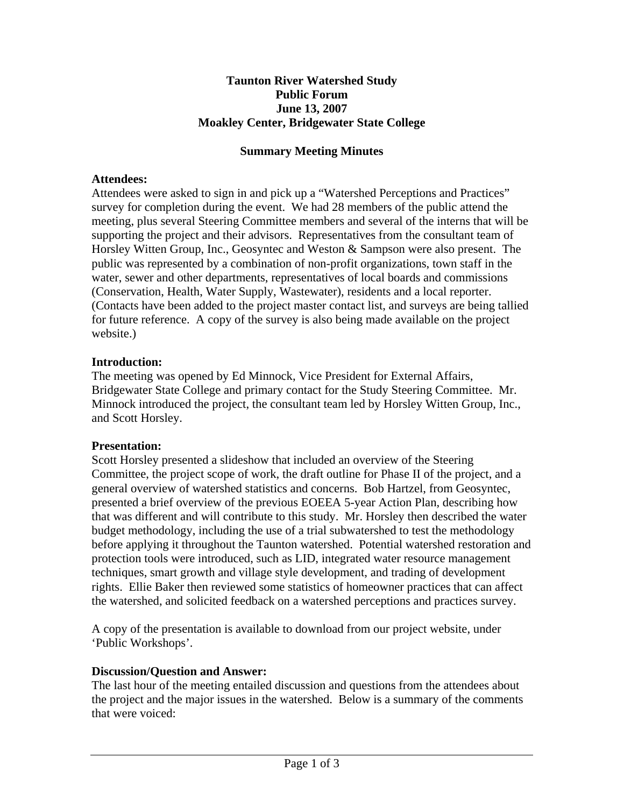## **Taunton River Watershed Study Public Forum June 13, 2007 Moakley Center, Bridgewater State College**

## **Summary Meeting Minutes**

## **Attendees:**

Attendees were asked to sign in and pick up a "Watershed Perceptions and Practices" survey for completion during the event. We had 28 members of the public attend the meeting, plus several Steering Committee members and several of the interns that will be supporting the project and their advisors. Representatives from the consultant team of Horsley Witten Group, Inc., Geosyntec and Weston & Sampson were also present. The public was represented by a combination of non-profit organizations, town staff in the water, sewer and other departments, representatives of local boards and commissions (Conservation, Health, Water Supply, Wastewater), residents and a local reporter. (Contacts have been added to the project master contact list, and surveys are being tallied for future reference. A copy of the survey is also being made available on the project website.)

# **Introduction:**

The meeting was opened by Ed Minnock, Vice President for External Affairs, Bridgewater State College and primary contact for the Study Steering Committee. Mr. Minnock introduced the project, the consultant team led by Horsley Witten Group, Inc., and Scott Horsley.

### **Presentation:**

Scott Horsley presented a slideshow that included an overview of the Steering Committee, the project scope of work, the draft outline for Phase II of the project, and a general overview of watershed statistics and concerns. Bob Hartzel, from Geosyntec, presented a brief overview of the previous EOEEA 5-year Action Plan, describing how that was different and will contribute to this study. Mr. Horsley then described the water budget methodology, including the use of a trial subwatershed to test the methodology before applying it throughout the Taunton watershed. Potential watershed restoration and protection tools were introduced, such as LID, integrated water resource management techniques, smart growth and village style development, and trading of development rights. Ellie Baker then reviewed some statistics of homeowner practices that can affect the watershed, and solicited feedback on a watershed perceptions and practices survey.

A copy of the presentation is available to download from our project website, under 'Public Workshops'.

### **Discussion/Question and Answer:**

The last hour of the meeting entailed discussion and questions from the attendees about the project and the major issues in the watershed. Below is a summary of the comments that were voiced: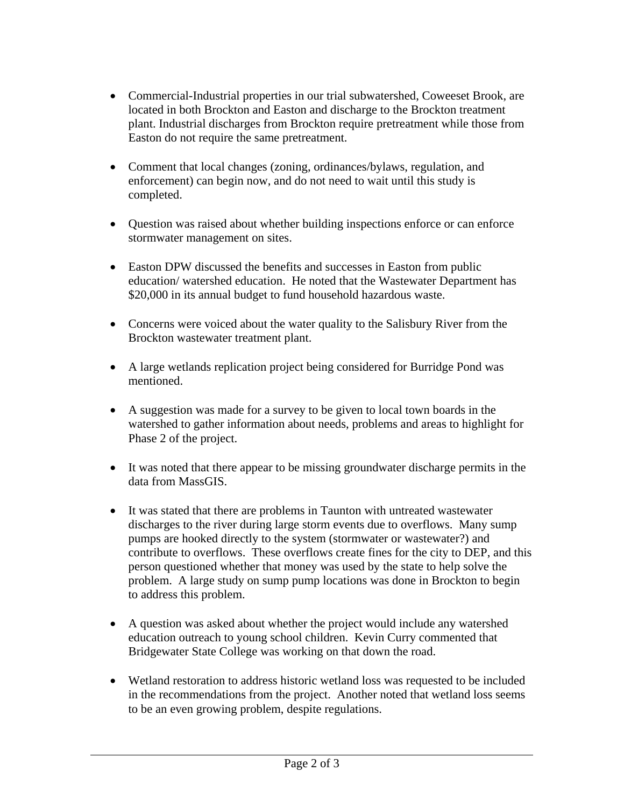- Commercial-Industrial properties in our trial subwatershed, Coweeset Brook, are located in both Brockton and Easton and discharge to the Brockton treatment plant. Industrial discharges from Brockton require pretreatment while those from Easton do not require the same pretreatment.
- Comment that local changes (zoning, ordinances/bylaws, regulation, and enforcement) can begin now, and do not need to wait until this study is completed.
- Question was raised about whether building inspections enforce or can enforce stormwater management on sites.
- Easton DPW discussed the benefits and successes in Easton from public education/ watershed education. He noted that the Wastewater Department has \$20,000 in its annual budget to fund household hazardous waste.
- Concerns were voiced about the water quality to the Salisbury River from the Brockton wastewater treatment plant.
- A large wetlands replication project being considered for Burridge Pond was mentioned.
- A suggestion was made for a survey to be given to local town boards in the watershed to gather information about needs, problems and areas to highlight for Phase 2 of the project.
- It was noted that there appear to be missing groundwater discharge permits in the data from MassGIS.
- It was stated that there are problems in Taunton with untreated wastewater discharges to the river during large storm events due to overflows. Many sump pumps are hooked directly to the system (stormwater or wastewater?) and contribute to overflows. These overflows create fines for the city to DEP, and this person questioned whether that money was used by the state to help solve the problem. A large study on sump pump locations was done in Brockton to begin to address this problem.
- A question was asked about whether the project would include any watershed education outreach to young school children. Kevin Curry commented that Bridgewater State College was working on that down the road.
- Wetland restoration to address historic wetland loss was requested to be included in the recommendations from the project. Another noted that wetland loss seems to be an even growing problem, despite regulations.